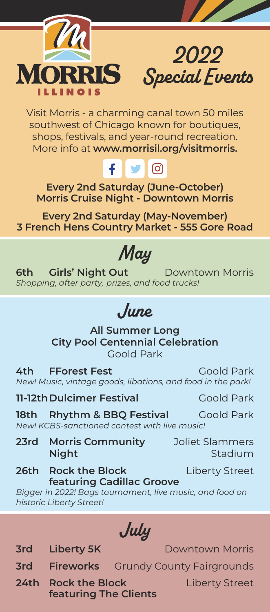



Visit Morris - a charming canal town 50 miles southwest of Chicago known for boutiques, shops, festivals, and year-round recreation. More info at **www.morrisil.org/visitmorris.**

## f.  $\blacksquare$

**Every 2nd Saturday (June-October) Morris Cruise Night - Downtown Morris**

**Every 2nd Saturday (May-November) 3 French Hens Country Market - 555 Gore Road**

## *May*

**6th Girls' Night Out** Downtown Morris *Shopping, after party, prizes, and food trucks!*

## *June*

**All Summer Long City Pool Centennial Celebration** Goold Park

**4th FForest Fest** Goold Park *New! Music, vintage goods, libations, and food in the park!*

**11-12th Dulcimer Festival** Goold Park

**18th Rhythm & BBO Festival Goold Park** 

*New! KCBS-sanctioned contest with live music!*

**23rd Morris Community** Joliet Slammers **Night** Stadium

**26th Rock the Block Liberty Street featuring Cadillac Groove**

*Bigger in 2022! Bags tournament, live music, and food on historic Liberty Street!* 

*July*

**3rd Liberty 5K** Downtown Morris

- **3rd Fireworks** Grundy County Fairgrounds
- **24th Rock the Block Liberty Street featuring The Clients**